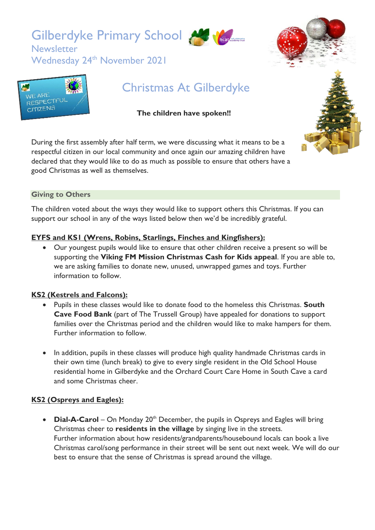Gilberdyke Primary School

Wednesday 24<sup>th</sup> November 2021







**Newsletter** 

# Christmas At Gilberdyke

# **The children have spoken!!**

During the first assembly after half term, we were discussing what it means to be a respectful citizen in our local community and once again our amazing children have declared that they would like to do as much as possible to ensure that others have a good Christmas as well as themselves.

### **Giving to Others**

The children voted about the ways they would like to support others this Christmas. If you can support our school in any of the ways listed below then we'd be incredibly grateful.

## **EYFS and KS1 (Wrens, Robins, Starlings, Finches and Kingfishers):**

• Our youngest pupils would like to ensure that other children receive a present so will be supporting the **Viking FM Mission Christmas Cash for Kids appeal**. If you are able to, we are asking families to donate new, unused, unwrapped games and toys. Further information to follow.

## **KS2 (Kestrels and Falcons):**

- Pupils in these classes would like to donate food to the homeless this Christmas. **South Cave Food Bank** (part of The Trussell Group) have appealed for donations to support families over the Christmas period and the children would like to make hampers for them. Further information to follow.
- In addition, pupils in these classes will produce high quality handmade Christmas cards in their own time (lunch break) to give to every single resident in the Old School House residential home in Gilberdyke and the Orchard Court Care Home in South Cave a card and some Christmas cheer.

# **KS2 (Ospreys and Eagles):**

• **Dial-A-Carol** – On Monday 20<sup>th</sup> December, the pupils in Ospreys and Eagles will bring Christmas cheer to **residents in the village** by singing live in the streets. Further information about how residents/grandparents/housebound locals can book a live Christmas carol/song performance in their street will be sent out next week. We will do our best to ensure that the sense of Christmas is spread around the village.